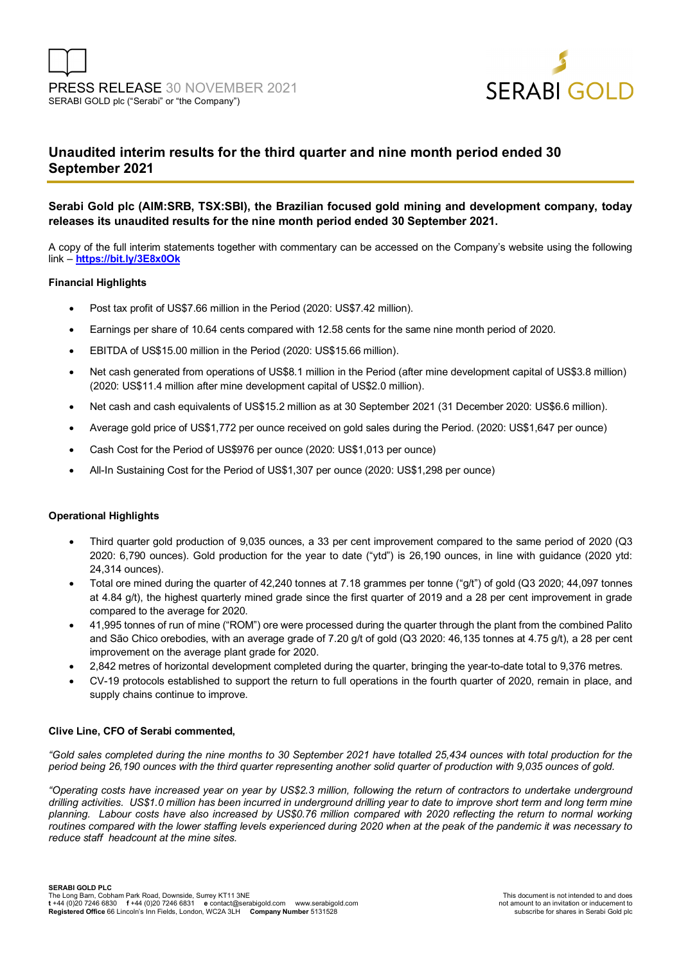

## **Unaudited interim results for the third quarter and nine month period ended 30 September 2021**

### **Serabi Gold plc (AIM:SRB, TSX:SBI), the Brazilian focused gold mining and development company, today releases its unaudited results for the nine month period ended 30 September 2021.**

A copy of the full interim statements together with commentary can be accessed on the Company's website using the following link – **https://bit.ly/3E8x0Ok**

### **Financial Highlights**

- Post tax profit of US\$7.66 million in the Period (2020: US\$7.42 million).
- Earnings per share of 10.64 cents compared with 12.58 cents for the same nine month period of 2020.
- EBITDA of US\$15.00 million in the Period (2020: US\$15.66 million).
- Net cash generated from operations of US\$8.1 million in the Period (after mine development capital of US\$3.8 million) (2020: US\$11.4 million after mine development capital of US\$2.0 million).
- Net cash and cash equivalents of US\$15.2 million as at 30 September 2021 (31 December 2020: US\$6.6 million).
- Average gold price of US\$1,772 per ounce received on gold sales during the Period. (2020: US\$1,647 per ounce)
- Cash Cost for the Period of US\$976 per ounce (2020: US\$1,013 per ounce)
- All-In Sustaining Cost for the Period of US\$1,307 per ounce (2020: US\$1,298 per ounce)

### **Operational Highlights**

- Third quarter gold production of 9,035 ounces, a 33 per cent improvement compared to the same period of 2020 (Q3 2020: 6,790 ounces). Gold production for the year to date ("ytd") is 26,190 ounces, in line with guidance (2020 ytd: 24,314 ounces).
- Total ore mined during the quarter of 42,240 tonnes at 7.18 grammes per tonne ("g/t") of gold (Q3 2020; 44,097 tonnes at 4.84 g/t), the highest quarterly mined grade since the first quarter of 2019 and a 28 per cent improvement in grade compared to the average for 2020.
- 41,995 tonnes of run of mine ("ROM") ore were processed during the quarter through the plant from the combined Palito and São Chico orebodies, with an average grade of 7.20 g/t of gold (Q3 2020: 46,135 tonnes at 4.75 g/t), a 28 per cent improvement on the average plant grade for 2020.
- 2,842 metres of horizontal development completed during the quarter, bringing the year-to-date total to 9,376 metres.
- CV-19 protocols established to support the return to full operations in the fourth quarter of 2020, remain in place, and supply chains continue to improve.

### **Clive Line, CFO of Serabi commented,**

*"Gold sales completed during the nine months to 30 September 2021 have totalled 25,434 ounces with total production for the period being 26,190 ounces with the third quarter representing another solid quarter of production with 9,035 ounces of gold.* 

*"Operating costs have increased year on year by US\$2.3 million, following the return of contractors to undertake underground drilling activities. US\$1.0 million has been incurred in underground drilling year to date to improve short term and long term mine planning. Labour costs have also increased by US\$0.76 million compared with 2020 reflecting the return to normal working routines compared with the lower staffing levels experienced during 2020 when at the peak of the pandemic it was necessary to reduce staff headcount at the mine sites.*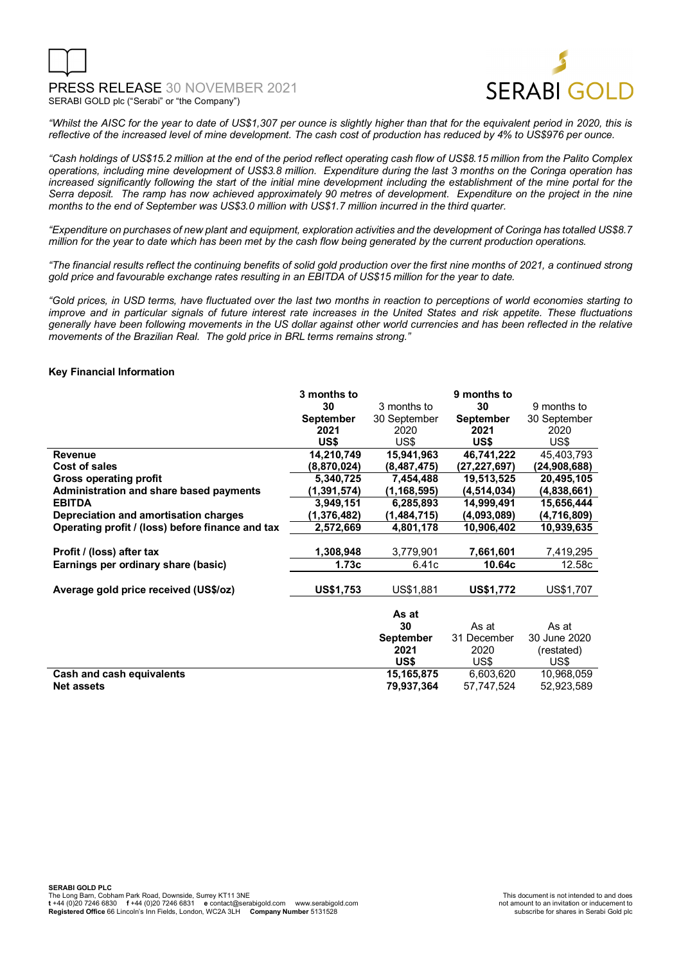

*"Whilst the AISC for the year to date of US\$1,307 per ounce is slightly higher than that for the equivalent period in 2020, this is reflective of the increased level of mine development. The cash cost of production has reduced by 4% to US\$976 per ounce.* 

*"Cash holdings of US\$15.2 million at the end of the period reflect operating cash flow of US\$8.15 million from the Palito Complex operations, including mine development of US\$3.8 million. Expenditure during the last 3 months on the Coringa operation has increased significantly following the start of the initial mine development including the establishment of the mine portal for the Serra deposit. The ramp has now achieved approximately 90 metres of development. Expenditure on the project in the nine months to the end of September was US\$3.0 million with US\$1.7 million incurred in the third quarter.* 

*"Expenditure on purchases of new plant and equipment, exploration activities and the development of Coringa has totalled US\$8.7 million for the year to date which has been met by the cash flow being generated by the current production operations.* 

*"The financial results reflect the continuing benefits of solid gold production over the first nine months of 2021, a continued strong gold price and favourable exchange rates resulting in an EBITDA of US\$15 million for the year to date.*

*"Gold prices, in USD terms, have fluctuated over the last two months in reaction to perceptions of world economies starting to improve and in particular signals of future interest rate increases in the United States and risk appetite. These fluctuations generally have been following movements in the US dollar against other world currencies and has been reflected in the relative movements of the Brazilian Real. The gold price in BRL terms remains strong."* 

### **Key Financial Information**

|                                                  | 3 months to      |                  | 9 months to      |              |
|--------------------------------------------------|------------------|------------------|------------------|--------------|
|                                                  | 30               | 3 months to      | 30               | 9 months to  |
|                                                  | <b>September</b> | 30 September     | <b>September</b> | 30 September |
|                                                  | 2021             | 2020             | 2021             | 2020         |
|                                                  | US\$             | US\$             | US\$             | US\$         |
| <b>Revenue</b>                                   | 14,210,749       | 15,941,963       | 46,741,222       | 45,403,793   |
| Cost of sales                                    | (8,870,024)      | (8,487,475)      | (27,227,697)     | (24,908,688) |
| <b>Gross operating profit</b>                    | 5,340,725        | 7,454,488        | 19,513,525       | 20,495,105   |
| Administration and share based payments          | (1, 391, 574)    | (1, 168, 595)    | (4,514,034)      | (4,838,661)  |
| <b>EBITDA</b>                                    | 3,949,151        | 6,285,893        | 14,999,491       | 15,656,444   |
| Depreciation and amortisation charges            | (1,376,482)      | (1,484,715)      | (4,093,089)      | (4,716,809)  |
| Operating profit / (loss) before finance and tax | 2,572,669        | 4,801,178        | 10,906,402       | 10,939,635   |
|                                                  |                  |                  |                  |              |
| Profit / (loss) after tax                        | 1,308,948        | 3,779,901        | 7,661,601        | 7,419,295    |
| Earnings per ordinary share (basic)              | 1.73c            | 6.41c            | 10.64c           | 12.58c       |
|                                                  |                  |                  |                  |              |
| Average gold price received (US\$/oz)            | <b>US\$1,753</b> | US\$1,881        | <b>US\$1,772</b> | US\$1,707    |
|                                                  |                  |                  |                  |              |
|                                                  |                  | As at            |                  |              |
|                                                  |                  | 30               | As at            | As at        |
|                                                  |                  | <b>September</b> | 31 December      | 30 June 2020 |
|                                                  |                  | 2021             | 2020             | (restated)   |
|                                                  |                  | US\$             | US\$             | US\$         |
| Cash and cash equivalents                        |                  | 15,165,875       | 6,603,620        | 10,968,059   |
| <b>Net assets</b>                                |                  | 79,937,364       | 57,747,524       | 52,923,589   |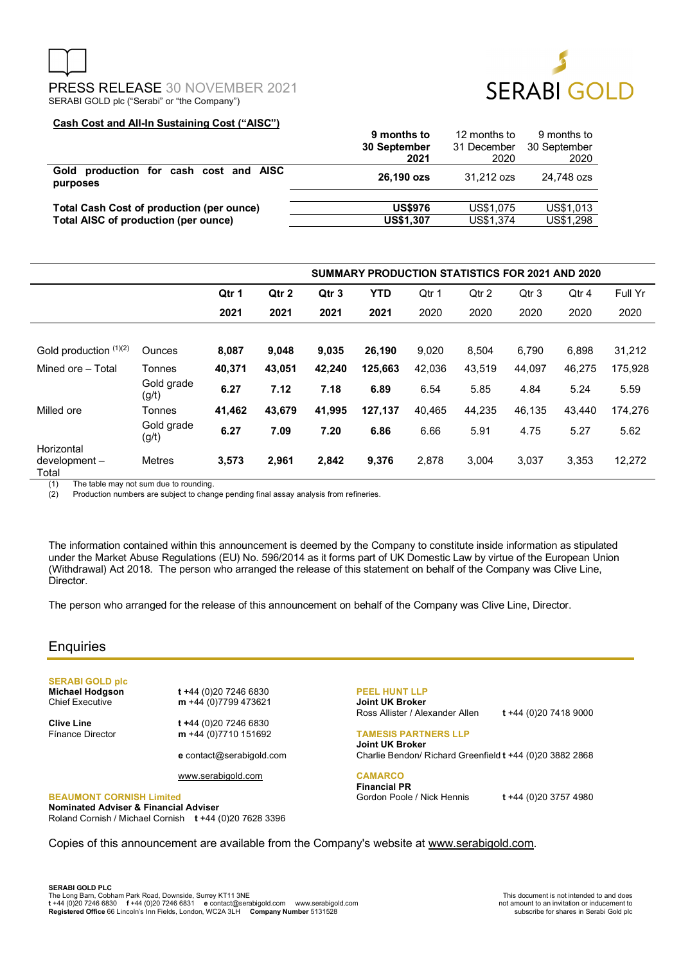



### **Cash Cost and All-In Sustaining Cost ("AISC")**

|                                                    | 9 months to      | 12 months to | 9 months to  |
|----------------------------------------------------|------------------|--------------|--------------|
|                                                    | 30 September     | 31 December  | 30 September |
|                                                    | 2021             | 2020         | 2020         |
| Gold production for cash cost and AISC<br>purposes | 26,190 ozs       | 31.212 ozs   | 24.748 ozs   |
| <b>Total Cash Cost of production (per ounce)</b>   | <b>US\$976</b>   | US\$1,075    | US\$1,013    |
| Total AISC of production (per ounce)               | <b>US\$1,307</b> | US\$1,374    | US\$1,298    |

|                                     |                     | <b>SUMMARY PRODUCTION STATISTICS FOR 2021 AND 2020</b> |        |                  |            |        |        |        |        |         |
|-------------------------------------|---------------------|--------------------------------------------------------|--------|------------------|------------|--------|--------|--------|--------|---------|
|                                     |                     | Qtr 1                                                  | Qtr 2  | Qtr <sub>3</sub> | <b>YTD</b> | Qtr 1  | Qtr 2  | Qtr 3  | Qtr 4  | Full Yr |
|                                     |                     | 2021                                                   | 2021   | 2021             | 2021       | 2020   | 2020   | 2020   | 2020   | 2020    |
|                                     |                     |                                                        |        |                  |            |        |        |        |        |         |
| Gold production (1)(2)              | <b>Ounces</b>       | 8,087                                                  | 9.048  | 9.035            | 26,190     | 9,020  | 8.504  | 6.790  | 6.898  | 31,212  |
| Mined ore - Total                   | Tonnes              | 40,371                                                 | 43,051 | 42,240           | 125,663    | 42,036 | 43,519 | 44,097 | 46,275 | 175,928 |
|                                     | Gold grade<br>(g/t) | 6.27                                                   | 7.12   | 7.18             | 6.89       | 6.54   | 5.85   | 4.84   | 5.24   | 5.59    |
| Milled ore                          | Tonnes              | 41,462                                                 | 43.679 | 41.995           | 127,137    | 40.465 | 44,235 | 46.135 | 43.440 | 174,276 |
|                                     | Gold grade<br>(g/t) | 6.27                                                   | 7.09   | 7.20             | 6.86       | 6.66   | 5.91   | 4.75   | 5.27   | 5.62    |
| Horizontal<br>development-<br>Total | <b>Metres</b>       | 3,573                                                  | 2,961  | 2.842            | 9,376      | 2.878  | 3.004  | 3,037  | 3.353  | 12,272  |

(1) The table may not sum due to rounding.<br>(2) Production numbers are subject to chan

Production numbers are subject to change pending final assay analysis from refineries.

The information contained within this announcement is deemed by the Company to constitute inside information as stipulated under the Market Abuse Regulations (EU) No. 596/2014 as it forms part of UK Domestic Law by virtue of the European Union (Withdrawal) Act 2018. The person who arranged the release of this statement on behalf of the Company was Clive Line, Director.

The person who arranged for the release of this announcement on behalf of the Company was Clive Line, Director.

### **Enquiries**

## **SERABI GOLD plc**

**Michael Hodgson t +44 (0)20 7246 6830**<br>Chief Executive **m** +44 (0)7799 473621 m +44 (0)7799 473621

**Clive Line** t +44 (0)20 7246 6830<br>Finance Director **m** +44 (0)7710 151692 m +44 (0)7710 151692

**e** contact@serabigold.com

www.serabigold.com

### **BEAUMONT CORNISH Limited**

**Nominated Adviser & Financial Adviser**  Roland Cornish / Michael Cornish **t** +44 (0)20 7628 3396 **PEEL HUNT LLP Joint UK Broker**

Ross Allister / Alexander Allen **t** +44 (0)20 7418 9000

### **TAMESIS PARTNERS LLP Joint UK Broker** Charlie Bendon/ Richard Greenfield **t** +44 (0)20 3882 2868

**CAMARCO Financial PR** Gordon Poole / Nick Hennis **t** +44 (0)20 3757 4980

Copies of this announcement are available from the Company's website at www.serabigold.com.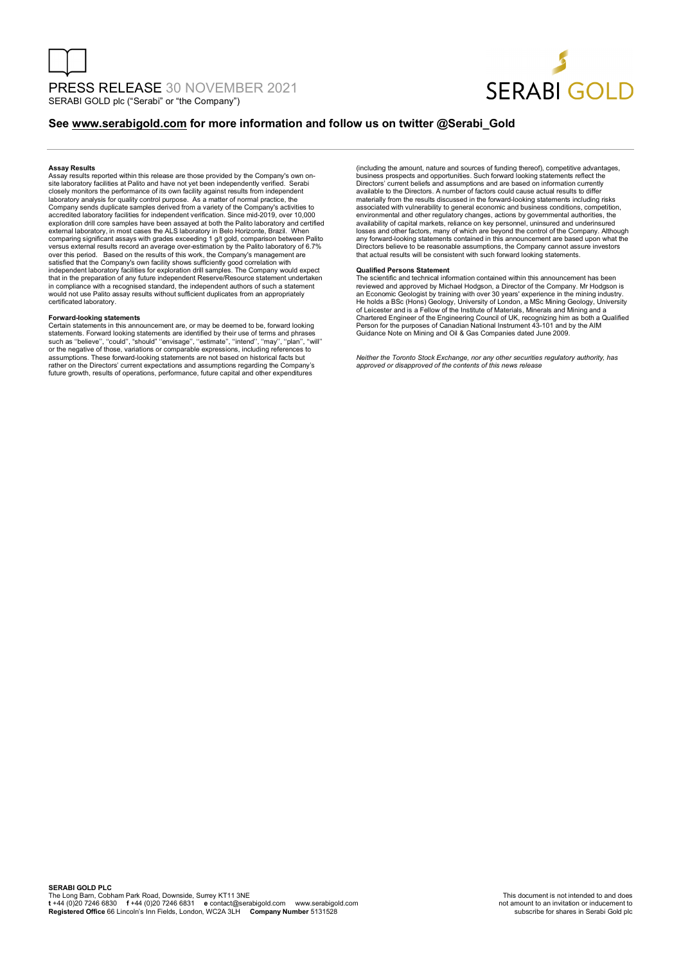

### **See www.serabigold.com for more information and follow us on twitter @Serabi\_Gold**

#### **Assay Results**

Assay results reported within this release are those provided by the Company's own on-site laboratory facilities at Palito and have not yet been independently verified. Serabi closely monitors the performance of its own facility against results from independent laboratory analysis for quality control purpose. As a matter of normal practice, the Company sends duplicate samples derived from a variety of the Company's activities to accredited laboratory facilities for independent verification. Since mid-2019, over 10,000 exploration drill core samples have been assayed at both the Palito laboratory and certified<br>external laboratory, in most cases the ALS laboratory in Belo Horizonte, Brazil. When<br>comparing significant assays with grades e over this period. Based on the results of this work, the Company's management are<br>satisfied that the Company's own facility shows sufficiently good correlation with<br>independent laboratory facilities for exploration drill that in the preparation of any future independent Reserve/Resource statement undertaken in compliance with a recognised standard, the independent authors of such a statement would not use Palito assay results without sufficient duplicates from an appropriately certificated laboratory.

#### **Forward-looking statements**

Certain statements in this announcement are, or may be deemed to be, forward looking<br>statements. Forward looking statements are identified by their use of terms and phrases<br>such as "believe", "could", "should" "envisage", rather on the Directors' current expectations and assumptions regarding the Company's future growth, results of operations, performance, future capital and other expenditures

(including the amount, nature and sources of funding thereof), competitive advantages, business prospects and opportunities. Such forward looking statements reflect the Directors' current beliefs and assumptions and are based on information currently available to the Directors. A number of factors could cause actual results to differ materially from the results discussed in the forward-looking statements including risks associated with vulnerability to general economic and business conditions, competition, environmental and other regulatory changes, actions by governmental authorities, the availability of capital markets, reliance on key personnel, uninsured and underinsured<br>losses and other factors, many of which are beyond the control of the Company. Although<br>any forward-looking statements contained in thi Directors believe to be reasonable assumptions, the Company cannot assure investors that actual results will be consistent with such forward looking statements.

#### **Qualified Persons Statement**

The scientific and technical information contained within this announcement has been reviewed and approved by Michael Hodgson, a Director of the Company. Mr Hodgson is an Economic Geologist by training with over 30 years' experience in the mining industry.<br>He holds a BSc (Hons) Geology, University of London, a MSc Mining Geology, University<br>of Leicester and is a Fellow of the Institute o Person for the purposes of Canadian National Instrument 43-101 and by the AIM Guidance Note on Mining and Oil & Gas Companies dated June 2009.

*Neither the Toronto Stock Exchange, nor any other securities regulatory authority, has approved or disapproved of the contents of this news release*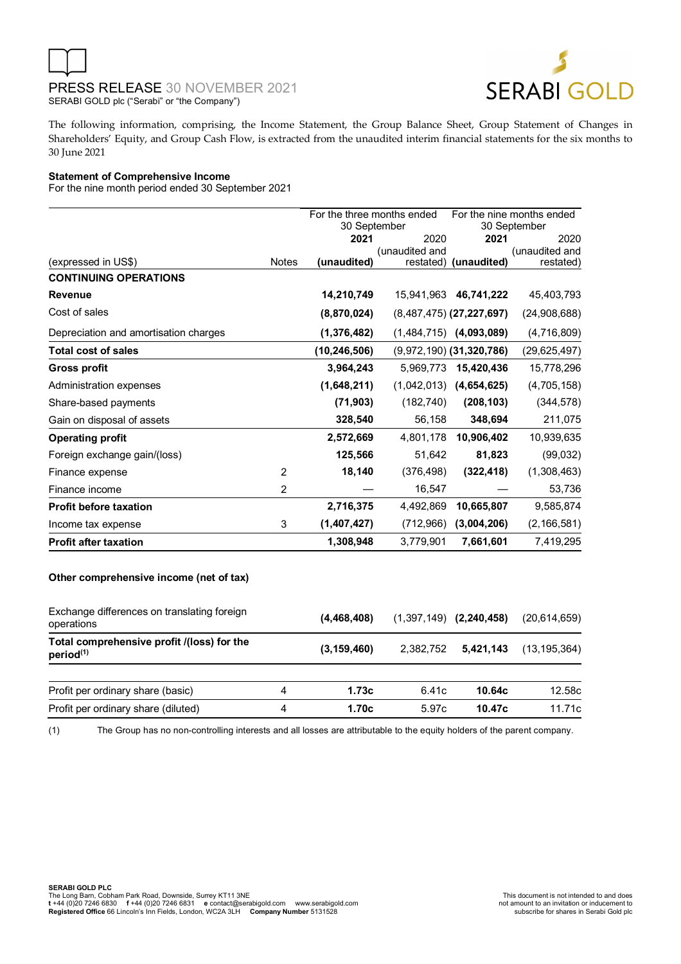



The following information, comprising, the Income Statement, the Group Balance Sheet, Group Statement of Changes in Shareholders' Equity, and Group Cash Flow, is extracted from the unaudited interim financial statements for the six months to 30 June 2021

### **Statement of Comprehensive Income**

For the nine month period ended 30 September 2021

|                                       |                | For the three months ended<br>30 September |                | For the nine months ended<br>30 September |                             |
|---------------------------------------|----------------|--------------------------------------------|----------------|-------------------------------------------|-----------------------------|
|                                       |                | 2021                                       | 2020           | 2021                                      | 2020                        |
| (expressed in US\$)                   | <b>Notes</b>   | (unaudited)                                | (unaudited and | restated) (unaudited)                     | (unaudited and<br>restated) |
| <b>CONTINUING OPERATIONS</b>          |                |                                            |                |                                           |                             |
| <b>Revenue</b>                        |                | 14,210,749                                 |                | 15,941,963 46,741,222                     | 45,403,793                  |
| Cost of sales                         |                | (8,870,024)                                |                | $(8,487,475)$ (27,227,697)                | (24,908,688)                |
| Depreciation and amortisation charges |                | (1,376,482)                                |                | $(1,484,715)$ $(4,093,089)$               | (4,716,809)                 |
| <b>Total cost of sales</b>            |                | (10, 246, 506)                             |                | $(9,972,190)$ $(31,320,786)$              | (29, 625, 497)              |
| <b>Gross profit</b>                   |                | 3,964,243                                  | 5.969.773      | 15,420,436                                | 15,778,296                  |
| Administration expenses               |                | (1,648,211)                                |                | $(1,042,013)$ $(4,654,625)$               | (4,705,158)                 |
| Share-based payments                  |                | (71, 903)                                  | (182, 740)     | (208, 103)                                | (344, 578)                  |
| Gain on disposal of assets            |                | 328,540                                    | 56,158         | 348,694                                   | 211,075                     |
| <b>Operating profit</b>               |                | 2,572,669                                  |                | 4,801,178 10,906,402                      | 10,939,635                  |
| Foreign exchange gain/(loss)          |                | 125,566                                    | 51,642         | 81,823                                    | (99,032)                    |
| Finance expense                       | $\mathcal{P}$  | 18,140                                     | (376, 498)     | (322, 418)                                | (1,308,463)                 |
| Finance income                        | $\overline{2}$ |                                            | 16,547         |                                           | 53,736                      |
| <b>Profit before taxation</b>         |                | 2,716,375                                  | 4,492,869      | 10,665,807                                | 9,585,874                   |
| Income tax expense                    | 3              | (1,407,427)                                | (712,966)      | (3,004,206)                               | (2, 166, 581)               |
| <b>Profit after taxation</b>          |                | 1,308,948                                  | 3,779,901      | 7,661,601                                 | 7,419,295                   |

### **Other comprehensive income (net of tax)**

| Exchange differences on translating foreign<br>operations           |   | (4,468,408)   |           | $(1,397,149)$ $(2,240,458)$ | (20.614.659)   |
|---------------------------------------------------------------------|---|---------------|-----------|-----------------------------|----------------|
| Total comprehensive profit /(loss) for the<br>period <sup>(1)</sup> |   | (3, 159, 460) | 2.382.752 | 5.421.143                   | (13, 195, 364) |
| Profit per ordinary share (basic)                                   | 4 | 1.73c         | 6.41c     | 10.64c                      | 12.58c         |
| Profit per ordinary share (diluted)                                 | 4 | 1.70c         | 5.97c     | 10.47c                      | 11.71c         |

(1) The Group has no non-controlling interests and all losses are attributable to the equity holders of the parent company.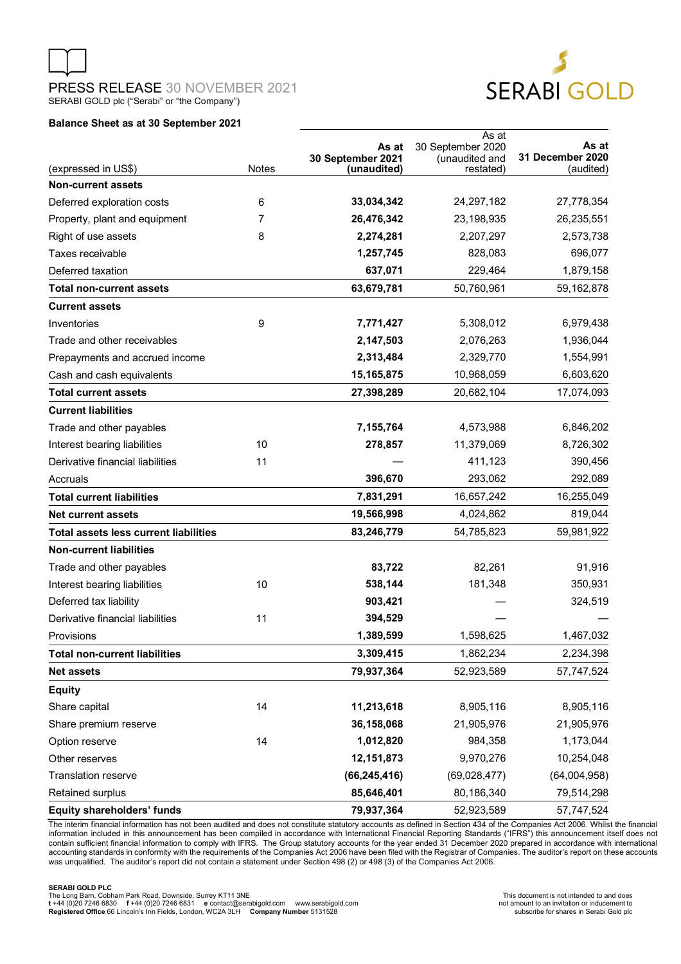

### **Balance Sheet as at 30 September 2021**

| (expressed in US\$)                          | <b>Notes</b> | As at<br>30 September 2021<br>(unaudited) | As at<br>30 September 2020<br>(unaudited and<br>restated) | As at<br>31 December 2020<br>(audited) |
|----------------------------------------------|--------------|-------------------------------------------|-----------------------------------------------------------|----------------------------------------|
| <b>Non-current assets</b>                    |              |                                           |                                                           |                                        |
| Deferred exploration costs                   | 6            | 33,034,342                                | 24,297,182                                                | 27,778,354                             |
| Property, plant and equipment                | 7            | 26,476,342                                | 23,198,935                                                | 26,235,551                             |
| Right of use assets                          | 8            | 2,274,281                                 | 2,207,297                                                 | 2,573,738                              |
| Taxes receivable                             |              | 1,257,745                                 | 828,083                                                   | 696,077                                |
| Deferred taxation                            |              | 637,071                                   | 229,464                                                   | 1,879,158                              |
| <b>Total non-current assets</b>              |              | 63,679,781                                | 50,760,961                                                | 59,162,878                             |
| <b>Current assets</b>                        |              |                                           |                                                           |                                        |
| Inventories                                  | 9            | 7,771,427                                 | 5,308,012                                                 | 6,979,438                              |
| Trade and other receivables                  |              | 2,147,503                                 | 2,076,263                                                 | 1,936,044                              |
| Prepayments and accrued income               |              | 2,313,484                                 | 2,329,770                                                 | 1,554,991                              |
| Cash and cash equivalents                    |              | 15, 165, 875                              | 10,968,059                                                | 6,603,620                              |
| <b>Total current assets</b>                  |              | 27,398,289                                | 20,682,104                                                | 17,074,093                             |
| <b>Current liabilities</b>                   |              |                                           |                                                           |                                        |
| Trade and other payables                     |              | 7,155,764                                 | 4,573,988                                                 | 6,846,202                              |
| Interest bearing liabilities                 | 10           | 278,857                                   | 11,379,069                                                | 8,726,302                              |
| Derivative financial liabilities             | 11           |                                           | 411,123                                                   | 390,456                                |
| Accruals                                     |              | 396,670                                   | 293,062                                                   | 292,089                                |
| <b>Total current liabilities</b>             |              | 7,831,291                                 | 16,657,242                                                | 16,255,049                             |
| <b>Net current assets</b>                    |              | 19,566,998                                | 4,024,862                                                 | 819,044                                |
| <b>Total assets less current liabilities</b> |              | 83,246,779                                | 54,785,823                                                | 59,981,922                             |
| <b>Non-current liabilities</b>               |              |                                           |                                                           |                                        |
| Trade and other payables                     |              | 83,722                                    | 82,261                                                    | 91,916                                 |
| Interest bearing liabilities                 | 10           | 538,144                                   | 181,348                                                   | 350,931                                |
| Deferred tax liability                       |              | 903,421                                   |                                                           | 324,519                                |
| Derivative financial liabilities             | 11           | 394,529                                   |                                                           |                                        |
| Provisions                                   |              | 1,389,599                                 | 1,598,625                                                 | 1,467,032                              |
| <b>Total non-current liabilities</b>         |              | 3,309,415                                 | 1,862,234                                                 | 2,234,398                              |
| <b>Net assets</b>                            |              | 79,937,364                                | 52,923,589                                                | 57,747,524                             |
| <b>Equity</b>                                |              |                                           |                                                           |                                        |
| Share capital                                | 14           | 11,213,618                                | 8,905,116                                                 | 8,905,116                              |
| Share premium reserve                        |              | 36,158,068                                | 21,905,976                                                | 21,905,976                             |
| Option reserve                               | 14           | 1,012,820                                 | 984,358                                                   | 1,173,044                              |
| Other reserves                               |              | 12,151,873                                | 9,970,276                                                 | 10,254,048                             |
| <b>Translation reserve</b>                   |              | (66, 245, 416)                            | (69,028,477)                                              | (64,004,958)                           |
| Retained surplus                             |              | 85,646,401                                | 80,186,340                                                | 79,514,298                             |
| <b>Equity shareholders' funds</b>            |              | 79,937,364                                | 52,923,589                                                | 57,747,524                             |

The interim financial information has not been audited and does not constitute statutory accounts as defined in Section 434 of the Companies Act 2006. Whilst the financial<br>information included in this announcement has been contain sufficient financial information to comply with IFRS. The Group statutory accounts for the year ended 31 December 2020 prepared in accordance with international<br>accounting standards in conformity with the requirem was unqualified. The auditor's report did not contain a statement under Section 498 (2) or 498 (3) of the Companies Act 2006.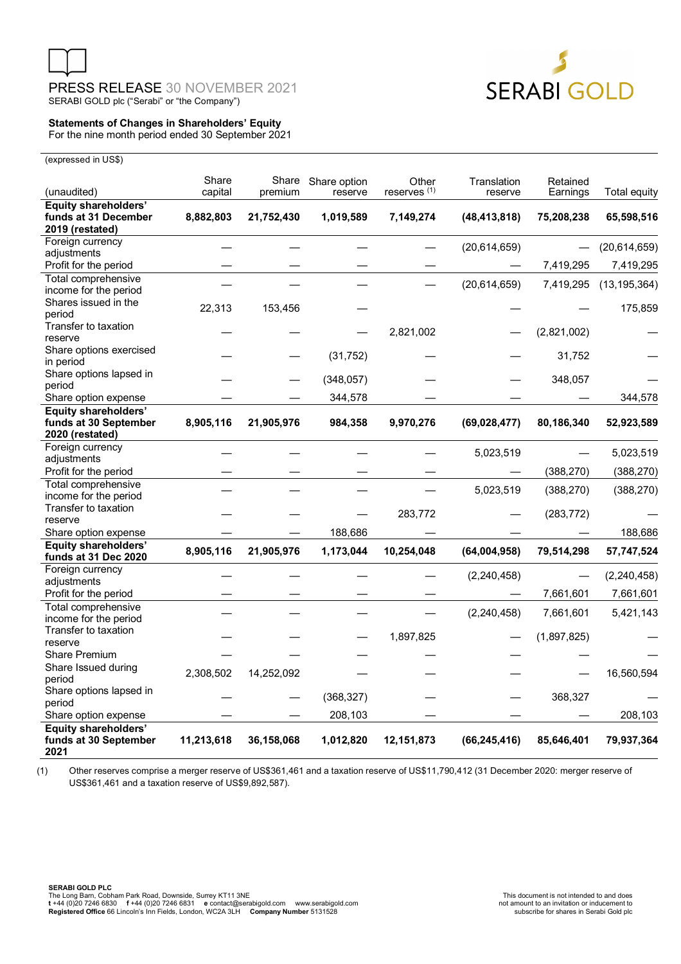



### **Statements of Changes in Shareholders' Equity**  For the nine month period ended 30 September 2021

(expressed in US\$)

| (unaudited)                                         | Share<br>capital | premium    | Share Share option<br>reserve | Other<br>reserves <sup>(1)</sup> | Translation<br>reserve | Retained<br>Earnings | Total equity   |
|-----------------------------------------------------|------------------|------------|-------------------------------|----------------------------------|------------------------|----------------------|----------------|
| <b>Equity shareholders'</b>                         |                  |            |                               |                                  |                        |                      |                |
| funds at 31 December<br>2019 (restated)             | 8,882,803        | 21,752,430 | 1,019,589                     | 7,149,274                        | (48, 413, 818)         | 75,208,238           | 65,598,516     |
| Foreign currency                                    |                  |            |                               |                                  | (20,614,659)           |                      | (20,614,659)   |
| adjustments                                         |                  |            |                               |                                  |                        |                      |                |
| Profit for the period                               |                  |            |                               |                                  |                        | 7,419,295            | 7,419,295      |
| Total comprehensive                                 |                  |            |                               |                                  | (20,614,659)           | 7,419,295            | (13, 195, 364) |
| income for the period                               |                  |            |                               |                                  |                        |                      |                |
| Shares issued in the                                | 22,313           | 153,456    |                               |                                  |                        |                      | 175,859        |
| period                                              |                  |            |                               |                                  |                        |                      |                |
| Transfer to taxation                                |                  |            |                               | 2,821,002                        |                        | (2,821,002)          |                |
| reserve                                             |                  |            |                               |                                  |                        |                      |                |
| Share options exercised<br>in period                |                  |            | (31, 752)                     |                                  |                        | 31,752               |                |
| Share options lapsed in                             |                  |            |                               |                                  |                        |                      |                |
| period                                              |                  |            | (348, 057)                    |                                  |                        | 348,057              |                |
| Share option expense                                |                  |            | 344,578                       |                                  |                        |                      | 344,578        |
| <b>Equity shareholders'</b>                         |                  |            |                               |                                  |                        |                      |                |
| funds at 30 September                               | 8,905,116        | 21,905,976 | 984,358                       | 9,970,276                        | (69, 028, 477)         | 80,186,340           | 52,923,589     |
| 2020 (restated)                                     |                  |            |                               |                                  |                        |                      |                |
| Foreign currency                                    |                  |            |                               |                                  |                        |                      |                |
| adjustments                                         |                  |            |                               |                                  | 5,023,519              |                      | 5,023,519      |
| Profit for the period                               |                  |            |                               |                                  |                        | (388, 270)           | (388, 270)     |
| Total comprehensive                                 |                  |            |                               |                                  | 5,023,519              | (388, 270)           | (388, 270)     |
| income for the period                               |                  |            |                               |                                  |                        |                      |                |
| Transfer to taxation                                |                  |            |                               | 283,772                          |                        | (283, 772)           |                |
| reserve                                             |                  |            |                               |                                  |                        |                      |                |
| Share option expense                                |                  |            | 188,686                       |                                  |                        |                      | 188,686        |
| <b>Equity shareholders'</b><br>funds at 31 Dec 2020 | 8,905,116        | 21,905,976 | 1,173,044                     | 10,254,048                       | (64,004,958)           | 79,514,298           | 57,747,524     |
| Foreign currency                                    |                  |            |                               |                                  | (2, 240, 458)          |                      | (2, 240, 458)  |
| adjustments                                         |                  |            |                               |                                  |                        |                      |                |
| Profit for the period                               |                  |            |                               |                                  |                        | 7,661,601            | 7,661,601      |
| Total comprehensive                                 |                  |            |                               |                                  | (2, 240, 458)          | 7,661,601            | 5,421,143      |
| income for the period                               |                  |            |                               |                                  |                        |                      |                |
| Transfer to taxation                                |                  |            |                               | 1,897,825                        |                        | (1,897,825)          |                |
| reserve                                             |                  |            |                               |                                  |                        |                      |                |
| <b>Share Premium</b>                                |                  |            |                               |                                  |                        |                      |                |
| Share Issued during                                 | 2,308,502        | 14,252,092 |                               |                                  |                        |                      | 16,560,594     |
| period                                              |                  |            |                               |                                  |                        |                      |                |
| Share options lapsed in                             |                  |            | (368, 327)                    |                                  |                        | 368,327              |                |
| period<br>Share option expense                      |                  |            | 208,103                       |                                  |                        |                      | 208,103        |
| <b>Equity shareholders'</b>                         |                  |            |                               |                                  |                        |                      |                |
| funds at 30 September<br>2021                       | 11,213,618       | 36,158,068 | 1,012,820                     | 12,151,873                       | (66, 245, 416)         | 85,646,401           | 79,937,364     |

(1) Other reserves comprise a merger reserve of US\$361,461 and a taxation reserve of US\$11,790,412 (31 December 2020: merger reserve of US\$361,461 and a taxation reserve of US\$9,892,587).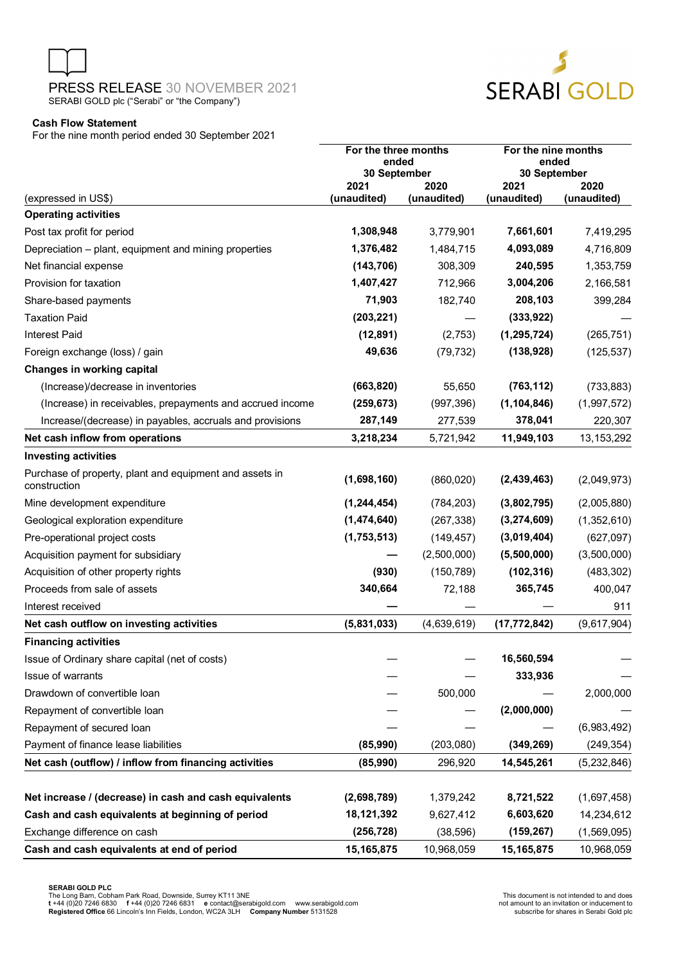

SERABI GOLD

### **Cash Flow Statement**

For the nine month period ended 30 September 2021

|                                                                         | For the three months<br>ended<br>30 September |             | For the nine months<br>ended<br>30 September |              |  |
|-------------------------------------------------------------------------|-----------------------------------------------|-------------|----------------------------------------------|--------------|--|
|                                                                         | 2021                                          | 2020        | 2021                                         | 2020         |  |
| (expressed in US\$)<br><b>Operating activities</b>                      | (unaudited)                                   | (unaudited) | (unaudited)                                  | (unaudited)  |  |
| Post tax profit for period                                              | 1,308,948                                     | 3,779,901   | 7,661,601                                    | 7,419,295    |  |
| Depreciation - plant, equipment and mining properties                   | 1,376,482                                     | 1,484,715   | 4,093,089                                    | 4,716,809    |  |
| Net financial expense                                                   | (143, 706)                                    | 308,309     | 240,595                                      | 1,353,759    |  |
| Provision for taxation                                                  | 1,407,427                                     | 712,966     | 3,004,206                                    | 2,166,581    |  |
| Share-based payments                                                    | 71,903                                        | 182,740     | 208,103                                      | 399,284      |  |
| <b>Taxation Paid</b>                                                    | (203, 221)                                    |             | (333, 922)                                   |              |  |
| <b>Interest Paid</b>                                                    | (12, 891)                                     | (2,753)     | (1, 295, 724)                                | (265, 751)   |  |
| Foreign exchange (loss) / gain                                          | 49,636                                        | (79, 732)   | (138, 928)                                   | (125, 537)   |  |
| Changes in working capital                                              |                                               |             |                                              |              |  |
| (Increase)/decrease in inventories                                      | (663, 820)                                    | 55,650      | (763, 112)                                   | (733, 883)   |  |
| (Increase) in receivables, prepayments and accrued income               | (259, 673)                                    | (997, 396)  | (1, 104, 846)                                | (1,997,572)  |  |
| Increase/(decrease) in payables, accruals and provisions                | 287,149                                       | 277,539     | 378,041                                      | 220,307      |  |
| Net cash inflow from operations                                         | 3,218,234                                     | 5,721,942   | 11,949,103                                   | 13, 153, 292 |  |
| <b>Investing activities</b>                                             |                                               |             |                                              |              |  |
| Purchase of property, plant and equipment and assets in<br>construction | (1,698,160)                                   | (860, 020)  | (2,439,463)                                  | (2,049,973)  |  |
| Mine development expenditure                                            | (1, 244, 454)                                 | (784, 203)  | (3,802,795)                                  | (2,005,880)  |  |
| Geological exploration expenditure                                      | (1,474,640)                                   | (267, 338)  | (3,274,609)                                  | (1,352,610)  |  |
| Pre-operational project costs                                           | (1,753,513)                                   | (149, 457)  | (3,019,404)                                  | (627,097)    |  |
| Acquisition payment for subsidiary                                      |                                               | (2,500,000) | (5,500,000)                                  | (3,500,000)  |  |
| Acquisition of other property rights                                    | (930)                                         | (150, 789)  | (102, 316)                                   | (483, 302)   |  |
| Proceeds from sale of assets                                            | 340,664                                       | 72,188      | 365,745                                      | 400,047      |  |
| Interest received                                                       |                                               |             |                                              | 911          |  |
| Net cash outflow on investing activities                                | (5,831,033)                                   | (4,639,619) | (17, 772, 842)                               | (9,617,904)  |  |
| <b>Financing activities</b>                                             |                                               |             |                                              |              |  |
| Issue of Ordinary share capital (net of costs)                          |                                               |             | 16,560,594                                   |              |  |
| Issue of warrants                                                       |                                               |             | 333,936                                      |              |  |
| Drawdown of convertible loan                                            |                                               | 500,000     |                                              | 2,000,000    |  |
| Repayment of convertible loan                                           |                                               |             | (2,000,000)                                  |              |  |
| Repayment of secured loan                                               |                                               |             |                                              | (6,983,492)  |  |
| Payment of finance lease liabilities                                    | (85,990)                                      | (203, 080)  | (349, 269)                                   | (249, 354)   |  |
| Net cash (outflow) / inflow from financing activities                   | (85,990)                                      | 296,920     | 14,545,261                                   | (5,232,846)  |  |
| Net increase / (decrease) in cash and cash equivalents                  | (2,698,789)                                   | 1,379,242   | 8,721,522                                    | (1,697,458)  |  |
| Cash and cash equivalents at beginning of period                        | 18,121,392                                    | 9,627,412   | 6,603,620                                    | 14,234,612   |  |
| Exchange difference on cash                                             | (256, 728)                                    | (38, 596)   | (159, 267)                                   | (1,569,095)  |  |
| Cash and cash equivalents at end of period                              | 15, 165, 875                                  | 10,968,059  | 15, 165, 875                                 | 10,968,059   |  |

**SERABI GOLD PLC**<br>The Long Barn, Cobham Park Road, Downside, Surrey KT11 3NE<br>The 44 (in the Apple of the After Archaeology of the Contact@serabigold.com www.serabigold.com and the archaeo<br>Registered Office 66 Lincoln's Inn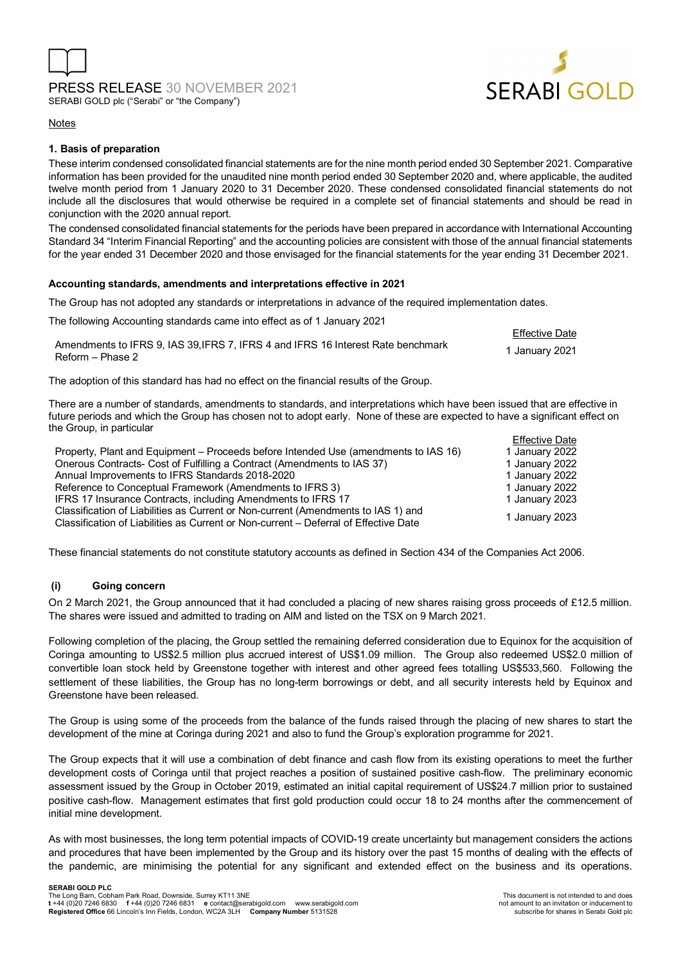



Effective Date

### Notes

### **1. Basis of preparation**

These interim condensed consolidated financial statements are for the nine month period ended 30 September 2021. Comparative information has been provided for the unaudited nine month period ended 30 September 2020 and, where applicable, the audited twelve month period from 1 January 2020 to 31 December 2020. These condensed consolidated financial statements do not include all the disclosures that would otherwise be required in a complete set of financial statements and should be read in conjunction with the 2020 annual report.

The condensed consolidated financial statements for the periods have been prepared in accordance with International Accounting Standard 34 "Interim Financial Reporting" and the accounting policies are consistent with those of the annual financial statements for the year ended 31 December 2020 and those envisaged for the financial statements for the year ending 31 December 2021.

### **Accounting standards, amendments and interpretations effective in 2021**

The Group has not adopted any standards or interpretations in advance of the required implementation dates.

The following Accounting standards came into effect as of 1 January 2021

| Amendments to IFRS 9. IAS 39. IFRS 7. IFRS 4 and IFRS 16 Interest Rate benchmark |                |
|----------------------------------------------------------------------------------|----------------|
| Reform – Phase 2                                                                 | 1 January 2021 |

The adoption of this standard has had no effect on the financial results of the Group.

There are a number of standards, amendments to standards, and interpretations which have been issued that are effective in future periods and which the Group has chosen not to adopt early. None of these are expected to have a significant effect on the Group, in particular

|                                                                                      | <b>Effective Date</b> |
|--------------------------------------------------------------------------------------|-----------------------|
| Property, Plant and Equipment – Proceeds before Intended Use (amendments to IAS 16)  | 1 January 2022        |
| Onerous Contracts- Cost of Fulfilling a Contract (Amendments to IAS 37)              | 1 January 2022        |
| Annual Improvements to IFRS Standards 2018-2020                                      | 1 January 2022        |
| Reference to Conceptual Framework (Amendments to IFRS 3)                             | 1 January 2022        |
| IFRS 17 Insurance Contracts, including Amendments to IFRS 17                         | 1 January 2023        |
| Classification of Liabilities as Current or Non-current (Amendments to IAS 1) and    | 1 January 2023        |
| Classification of Liabilities as Current or Non-current – Deferral of Effective Date |                       |

These financial statements do not constitute statutory accounts as defined in Section 434 of the Companies Act 2006.

### **(i) Going concern**

On 2 March 2021, the Group announced that it had concluded a placing of new shares raising gross proceeds of £12.5 million. The shares were issued and admitted to trading on AIM and listed on the TSX on 9 March 2021.

Following completion of the placing, the Group settled the remaining deferred consideration due to Equinox for the acquisition of Coringa amounting to US\$2.5 million plus accrued interest of US\$1.09 million. The Group also redeemed US\$2.0 million of convertible loan stock held by Greenstone together with interest and other agreed fees totalling US\$533,560. Following the settlement of these liabilities, the Group has no long-term borrowings or debt, and all security interests held by Equinox and Greenstone have been released.

The Group is using some of the proceeds from the balance of the funds raised through the placing of new shares to start the development of the mine at Coringa during 2021 and also to fund the Group's exploration programme for 2021.

The Group expects that it will use a combination of debt finance and cash flow from its existing operations to meet the further development costs of Coringa until that project reaches a position of sustained positive cash-flow. The preliminary economic assessment issued by the Group in October 2019, estimated an initial capital requirement of US\$24.7 million prior to sustained positive cash-flow. Management estimates that first gold production could occur 18 to 24 months after the commencement of initial mine development.

As with most businesses, the long term potential impacts of COVID-19 create uncertainty but management considers the actions and procedures that have been implemented by the Group and its history over the past 15 months of dealing with the effects of the pandemic, are minimising the potential for any significant and extended effect on the business and its operations.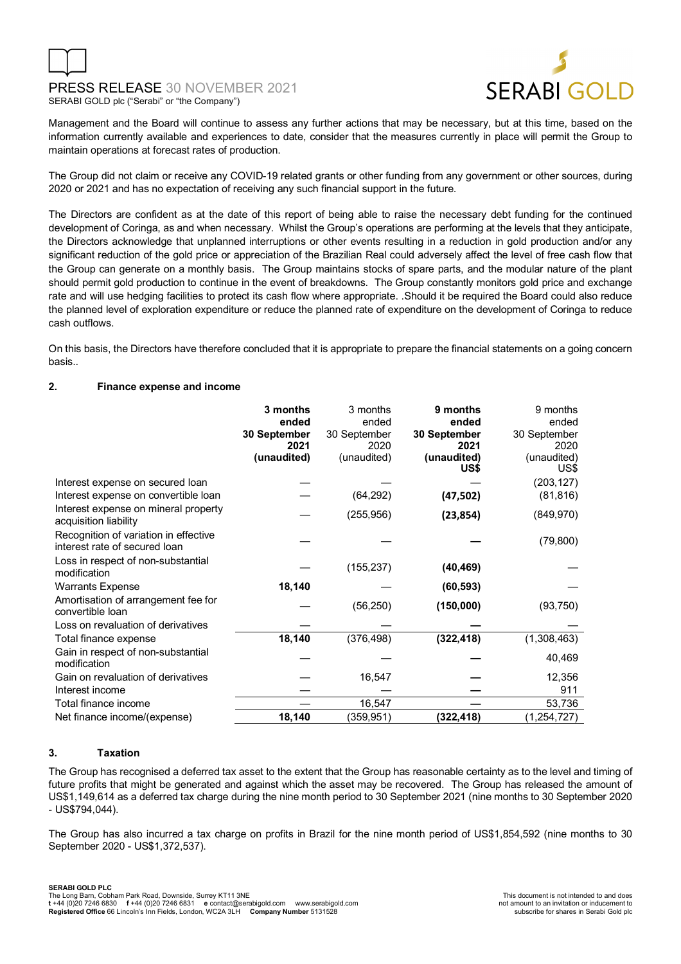

Management and the Board will continue to assess any further actions that may be necessary, but at this time, based on the information currently available and experiences to date, consider that the measures currently in place will permit the Group to maintain operations at forecast rates of production.

The Group did not claim or receive any COVID-19 related grants or other funding from any government or other sources, during 2020 or 2021 and has no expectation of receiving any such financial support in the future.

The Directors are confident as at the date of this report of being able to raise the necessary debt funding for the continued development of Coringa, as and when necessary. Whilst the Group's operations are performing at the levels that they anticipate, the Directors acknowledge that unplanned interruptions or other events resulting in a reduction in gold production and/or any significant reduction of the gold price or appreciation of the Brazilian Real could adversely affect the level of free cash flow that the Group can generate on a monthly basis. The Group maintains stocks of spare parts, and the modular nature of the plant should permit gold production to continue in the event of breakdowns. The Group constantly monitors gold price and exchange rate and will use hedging facilities to protect its cash flow where appropriate. .Should it be required the Board could also reduce the planned level of exploration expenditure or reduce the planned rate of expenditure on the development of Coringa to reduce cash outflows.

On this basis, the Directors have therefore concluded that it is appropriate to prepare the financial statements on a going concern basis..

### **2. Finance expense and income**

|                                                                        | 3 months<br>ended<br>30 September<br>2021<br>(unaudited) | 3 months<br>ended<br>30 September<br>2020<br>(unaudited) | 9 months<br>ended<br>30 September<br>2021<br>(unaudited)<br>US\$ | 9 months<br>ended<br>30 September<br>2020<br>(unaudited)<br>US\$ |
|------------------------------------------------------------------------|----------------------------------------------------------|----------------------------------------------------------|------------------------------------------------------------------|------------------------------------------------------------------|
| Interest expense on secured loan                                       |                                                          |                                                          |                                                                  | (203, 127)                                                       |
| Interest expense on convertible loan                                   |                                                          | (64, 292)                                                | (47, 502)                                                        | (81, 816)                                                        |
| Interest expense on mineral property<br>acquisition liability          |                                                          | (255, 956)                                               | (23, 854)                                                        | (849, 970)                                                       |
| Recognition of variation in effective<br>interest rate of secured loan |                                                          |                                                          |                                                                  | (79, 800)                                                        |
| Loss in respect of non-substantial<br>modification                     |                                                          | (155, 237)                                               | (40, 469)                                                        |                                                                  |
| <b>Warrants Expense</b>                                                | 18,140                                                   |                                                          | (60, 593)                                                        |                                                                  |
| Amortisation of arrangement fee for<br>convertible loan                |                                                          | (56, 250)                                                | (150,000)                                                        | (93, 750)                                                        |
| Loss on revaluation of derivatives                                     |                                                          |                                                          |                                                                  |                                                                  |
| Total finance expense                                                  | 18,140                                                   | (376, 498)                                               | (322, 418)                                                       | (1,308,463)                                                      |
| Gain in respect of non-substantial<br>modification                     |                                                          |                                                          |                                                                  | 40,469                                                           |
| Gain on revaluation of derivatives                                     |                                                          | 16,547                                                   |                                                                  | 12,356                                                           |
| Interest income                                                        |                                                          |                                                          |                                                                  | 911                                                              |
| Total finance income                                                   |                                                          | 16,547                                                   |                                                                  | 53,736                                                           |
| Net finance income/(expense)                                           | 18,140                                                   | (359, 951)                                               | (322,418)                                                        | (1, 254, 727)                                                    |

### **3. Taxation**

The Group has recognised a deferred tax asset to the extent that the Group has reasonable certainty as to the level and timing of future profits that might be generated and against which the asset may be recovered. The Group has released the amount of US\$1,149,614 as a deferred tax charge during the nine month period to 30 September 2021 (nine months to 30 September 2020 - US\$794,044).

The Group has also incurred a tax charge on profits in Brazil for the nine month period of US\$1,854,592 (nine months to 30 September 2020 - US\$1,372,537).